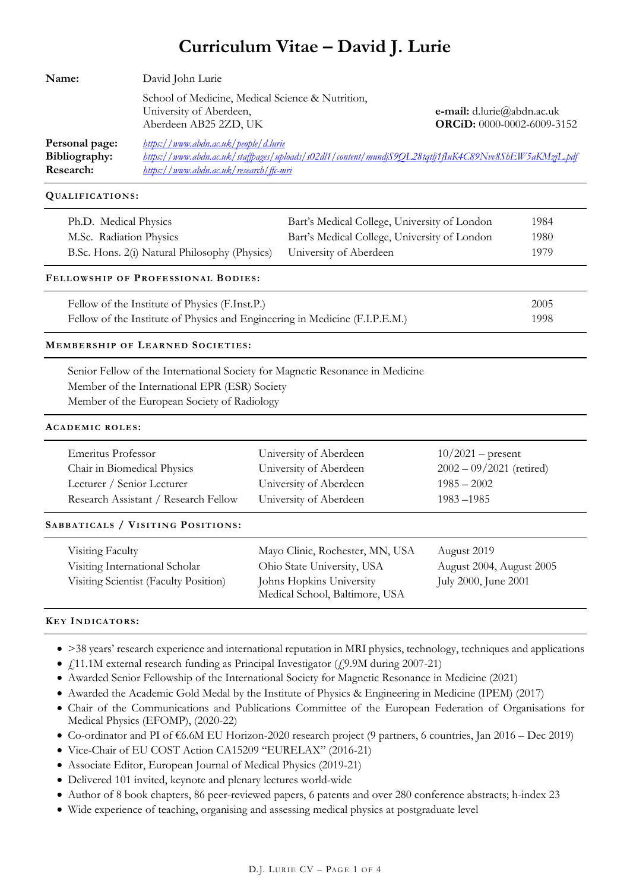# **Curriculum Vitae – David J. Lurie**

| Name:                                        | David John Lurie                                                                                     |                                                                                                       |  |
|----------------------------------------------|------------------------------------------------------------------------------------------------------|-------------------------------------------------------------------------------------------------------|--|
|                                              | School of Medicine, Medical Science & Nutrition,<br>University of Aberdeen,<br>Aberdeen AB25 2ZD, UK | e-mail: $d$ .lurie@abdn.ac.uk<br>ORCiD: 0000-0002-6009-3152                                           |  |
| Personal page:<br>Bibliography:<br>Research: | https://www.abdn.ac.uk/people/d.lurie<br>https://www.abdn.ac.uk/research/ffc-mri                     | https://www.abdn.ac.uk/staffbages/uploads/s02dl1/content/mundjS9OL28tgtlj1fluK4C89Nvv8ShEW5aKMzjL.pdf |  |

**QUALIFICATIONS :**

| Ph.D. Medical Physics                                                | Bart's Medical College, University of London | 1984  |
|----------------------------------------------------------------------|----------------------------------------------|-------|
| M.Sc. Radiation Physics                                              | Bart's Medical College, University of London | 1980. |
| B.Sc. Hons. 2(i) Natural Philosophy (Physics) University of Aberdeen |                                              | 1979  |

# **FELLOWSHIP OF PROFESSIONAL BODIES :**

| Fellow of the Institute of Physics (F.Inst.P.)                              | 2005 |
|-----------------------------------------------------------------------------|------|
| Fellow of the Institute of Physics and Engineering in Medicine (F.I.P.E.M.) | 1998 |

# **MEMBERSHIP OF LEARNED SOCIETIES :**

Senior Fellow of the International Society for Magnetic Resonance in Medicine Member of the International EPR (ESR) Society Member of the European Society of Radiology

#### **ACADEMIC ROLES :**

| Emeritus Professor                    | University of Aberdeen                                     | $10/2021$ – present        |
|---------------------------------------|------------------------------------------------------------|----------------------------|
| Chair in Biomedical Physics           | University of Aberdeen                                     | $2002 - 09/2021$ (retired) |
| Lecturer / Senior Lecturer            | University of Aberdeen                                     | $1985 - 2002$              |
| Research Assistant / Research Fellow  | University of Aberdeen                                     | $1983 - 1985$              |
| SABBATICALS / VISITING POSITIONS:     |                                                            |                            |
| Visiting Faculty                      | Mayo Clinic, Rochester, MN, USA                            | August 2019                |
| Visiting International Scholar        | Ohio State University, USA                                 | August 2004, August 2005   |
| Visiting Scientist (Faculty Position) | Johns Hopkins University<br>Medical School, Baltimore, USA | July 2000, June 2001       |
|                                       |                                                            |                            |

# **KEY INDICATORS :**

- >38 years' research experience and international reputation in MRI physics, technology, techniques and applications
- $f_{11.1M}$  external research funding as Principal Investigator ( $f_{2.9M}$  during 2007-21)
- Awarded Senior Fellowship of the International Society for Magnetic Resonance in Medicine (2021)
- Awarded the Academic Gold Medal by the Institute of Physics & Engineering in Medicine (IPEM) (2017)
- Chair of the Communications and Publications Committee of the European Federation of Organisations for Medical Physics (EFOMP), (2020-22)
- Co-ordinator and PI of €6.6M EU Horizon-2020 research project (9 partners, 6 countries, Jan 2016 Dec 2019)
- Vice-Chair of EU COST Action CA15209 "EURELAX" (2016-21)
- Associate Editor, European Journal of Medical Physics (2019-21)
- Delivered 101 invited, keynote and plenary lectures world-wide
- Author of 8 book chapters, 86 peer-reviewed papers, 6 patents and over 280 conference abstracts; h-index 23
- Wide experience of teaching, organising and assessing medical physics at postgraduate level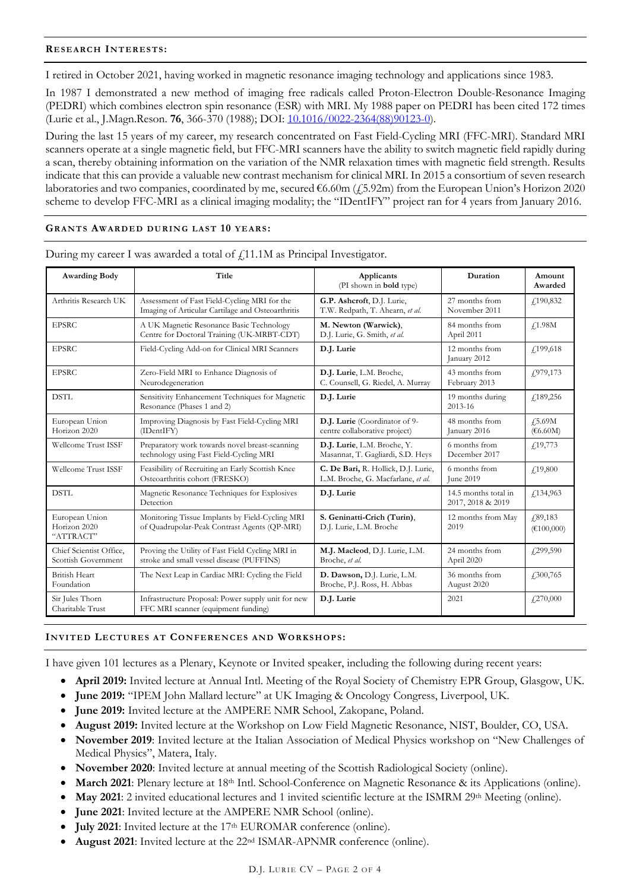# **RESEARCH INTERESTS :**

I retired in October 2021, having worked in magnetic resonance imaging technology and applications since 1983.

In 1987 I demonstrated a new method of imaging free radicals called Proton-Electron Double-Resonance Imaging (PEDRI) which combines electron spin resonance (ESR) with MRI. My 1988 paper on PEDRI has been cited 172 times (Lurie et al., J.Magn.Reson. **76**, 366-370 (1988); DOI: 10.1016/0022-2364(88)90123-0).

During the last 15 years of my career, my research concentrated on Fast Field-Cycling MRI (FFC-MRI). Standard MRI scanners operate at a single magnetic field, but FFC-MRI scanners have the ability to switch magnetic field rapidly during a scan, thereby obtaining information on the variation of the NMR relaxation times with magnetic field strength. Results indicate that this can provide a valuable new contrast mechanism for clinical MRI. In 2015 a consortium of seven research laboratories and two companies, coordinated by me, secured  $\epsilon$ 6.60m ( $\epsilon$ 5.92m) from the European Union's Horizon 2020 scheme to develop FFC-MRI as a clinical imaging modality; the "IDentIFY" project ran for 4 years from January 2016.

# **GRANTS AWARDED DURING LAST 10 YEARS :**

| <b>Awarding Body</b>                           | Title                                                                                             | Applicants<br>(PI shown in <b>bold</b> type)                              | Duration                                  | Amount<br>Awarded     |
|------------------------------------------------|---------------------------------------------------------------------------------------------------|---------------------------------------------------------------------------|-------------------------------------------|-----------------------|
| Arthritis Research UK                          | Assessment of Fast Field-Cycling MRI for the<br>Imaging of Articular Cartilage and Osteoarthritis | G.P. Ashcroft, D.J. Lurie,<br>T.W. Redpath, T. Ahearn, et al.             | 27 months from<br>November 2011           | £190,832              |
| <b>EPSRC</b>                                   | A UK Magnetic Resonance Basic Technology<br>Centre for Doctoral Training (UK-MRBT-CDT)            | M. Newton (Warwick),<br>D.J. Lurie, G. Smith, et al.                      | 84 months from<br>April 2011              | $\sqrt{1.98M}$        |
| <b>EPSRC</b>                                   | Field-Cycling Add-on for Clinical MRI Scanners                                                    | D.J. Lurie                                                                | 12 months from<br>January 2012            | £199,618              |
| <b>EPSRC</b>                                   | Zero-Field MRI to Enhance Diagnosis of<br>Neurodegeneration                                       | D.J. Lurie, L.M. Broche,<br>C. Counsell, G. Riedel, A. Murray             | 43 months from<br>February 2013           | 4.979,173             |
| <b>DSTL</b>                                    | Sensitivity Enhancement Techniques for Magnetic<br>Resonance (Phases 1 and 2)                     | D.J. Lurie                                                                | 19 months during<br>2013-16               | £189,256              |
| European Union<br>Horizon 2020                 | Improving Diagnosis by Fast Field-Cycling MRI<br>(IDentIFY)                                       | D.J. Lurie (Coordinator of 9-<br>centre collaborative project)            | 48 months from<br>January 2016            | 4.5.69M<br>(66.60M)   |
| Wellcome Trust ISSF                            | Preparatory work towards novel breast-scanning<br>technology using Fast Field-Cycling MRI         | D.J. Lurie, L.M. Broche, Y.<br>Masannat, T. Gagliardi, S.D. Heys          | 6 months from<br>December 2017            | f(19,773)             |
| Wellcome Trust ISSF                            | Feasibility of Recruiting an Early Scottish Knee<br>Osteoarthritis cohort (FRESKO)                | C. De Bari, R. Hollick, D.J. Lurie,<br>L.M. Broche, G. Macfarlane, et al. | 6 months from<br>June 2019                | f19,800               |
| <b>DSTL</b>                                    | Magnetic Resonance Techniques for Explosives<br>Detection                                         | D.J. Lurie                                                                | 14.5 months total in<br>2017, 2018 & 2019 | $f$ 134,963           |
| European Union<br>Horizon 2020<br>"ATTRACT"    | Monitoring Tissue Implants by Field-Cycling MRI<br>of Quadrupolar-Peak Contrast Agents (QP-MRI)   | S. Geninatti-Crich (Turin),<br>D.J. Lurie, L.M. Broche                    | 12 months from May<br>2019                | 4.89,183<br>€100,000) |
| Chief Scientist Office,<br>Scottish Government | Proving the Utility of Fast Field Cycling MRI in<br>stroke and small vessel disease (PUFFINS)     | M.J. Macleod, D.J. Lurie, L.M.<br>Broche, et al.                          | 24 months from<br>April 2020              | £299,590              |
| <b>British Heart</b><br>Foundation             | The Next Leap in Cardiac MRI: Cycling the Field                                                   | D. Dawson, D.J. Lurie, L.M.<br>Broche, P.J. Ross, H. Abbas                | 36 months from<br>August 2020             | $\sqrt{.300,765}$     |
| Sir Jules Thorn<br>Charitable Trust            | Infrastructure Proposal: Power supply unit for new<br>FFC MRI scanner (equipment funding)         | D.J. Lurie                                                                | 2021                                      | £270,000              |

During my career I was awarded a total of  $f_{11.1M}$  as Principal Investigator.

# **INVITED LECTURES AT CONFERENCES AND WORKSHOPS:**

I have given 101 lectures as a Plenary, Keynote or Invited speaker, including the following during recent years:

- **April 2019:** Invited lecture at Annual Intl. Meeting of the Royal Society of Chemistry EPR Group, Glasgow, UK.
- **June 2019:** "IPEM John Mallard lecture" at UK Imaging & Oncology Congress, Liverpool, UK.
- **June 2019:** Invited lecture at the AMPERE NMR School, Zakopane, Poland.
- **August 2019:** Invited lecture at the Workshop on Low Field Magnetic Resonance, NIST, Boulder, CO, USA.
- **November 2019**: Invited lecture at the Italian Association of Medical Physics workshop on "New Challenges of Medical Physics", Matera, Italy.
- **November 2020**: Invited lecture at annual meeting of the Scottish Radiological Society (online).
- **March 2021**: Plenary lecture at 18<sup>th</sup> Intl. School-Conference on Magnetic Resonance & its Applications (online).
- **May 2021**: 2 invited educational lectures and 1 invited scientific lecture at the ISMRM 29th Meeting (online).
- **June 2021**: Invited lecture at the AMPERE NMR School (online).
- **July 2021**: Invited lecture at the 17<sup>th</sup> EUROMAR conference (online).
- **August 2021**: Invited lecture at the 22nd ISMAR-APNMR conference (online).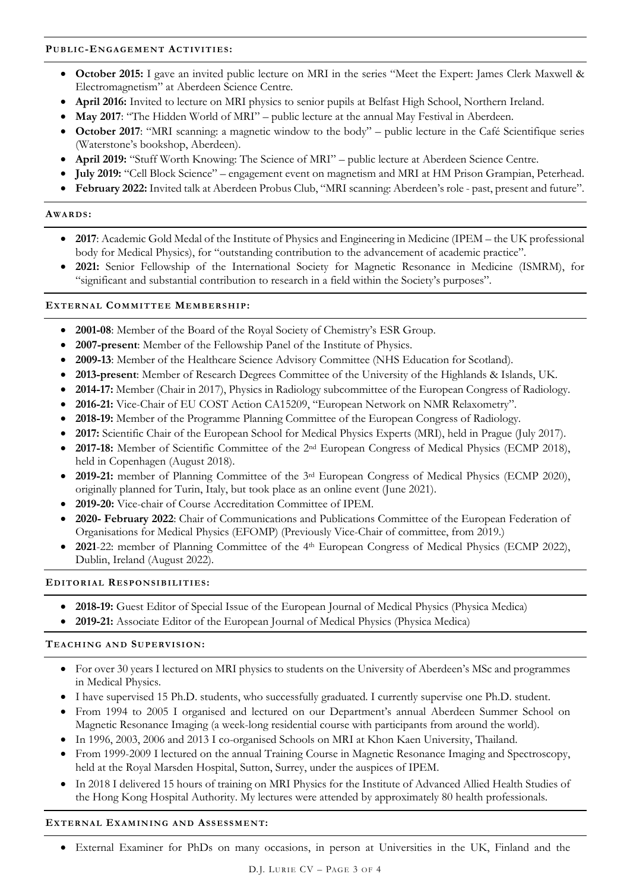# **PUBLIC-ENGAGEMENT ACTIVITIES :**

- **October 2015:** I gave an invited public lecture on MRI in the series "Meet the Expert: James Clerk Maxwell & Electromagnetism" at Aberdeen Science Centre.
- **April 2016:** Invited to lecture on MRI physics to senior pupils at Belfast High School, Northern Ireland.
- May 2017: "The Hidden World of MRI" public lecture at the annual May Festival in Aberdeen.
- **October 2017**: "MRI scanning: a magnetic window to the body" public lecture in the Café Scientifique series (Waterstone's bookshop, Aberdeen).
- **April 2019:** "Stuff Worth Knowing: The Science of MRI" public lecture at Aberdeen Science Centre.
- **July 2019:** "Cell Block Science" engagement event on magnetism and MRI at HM Prison Grampian, Peterhead.
- **February 2022:** Invited talk at Aberdeen Probus Club, "MRI scanning: Aberdeen's role past, present and future".

# **AWARDS :**

- **2017**: Academic Gold Medal of the Institute of Physics and Engineering in Medicine (IPEM the UK professional body for Medical Physics), for "outstanding contribution to the advancement of academic practice".
- **2021:** Senior Fellowship of the International Society for Magnetic Resonance in Medicine (ISMRM), for "significant and substantial contribution to research in a field within the Society's purposes".

# **EXTERNAL COMMITTEE MEMBERSHIP:**

- **2001-08**: Member of the Board of the Royal Society of Chemistry's ESR Group.
- **2007-present**: Member of the Fellowship Panel of the Institute of Physics.
- **2009-13**: Member of the Healthcare Science Advisory Committee (NHS Education for Scotland).
- **2013-present**: Member of Research Degrees Committee of the University of the Highlands & Islands, UK.
- **2014-17:** Member (Chair in 2017), Physics in Radiology subcommittee of the European Congress of Radiology.
- **2016-21:** Vice-Chair of EU COST Action CA15209, "European Network on NMR Relaxometry".
- **2018-19:** Member of the Programme Planning Committee of the European Congress of Radiology.
- **2017:** Scientific Chair of the European School for Medical Physics Experts (MRI), held in Prague (July 2017).
- **2017-18:** Member of Scientific Committee of the 2nd European Congress of Medical Physics (ECMP 2018), held in Copenhagen (August 2018).
- **2019-21:** member of Planning Committee of the 3rd European Congress of Medical Physics (ECMP 2020), originally planned for Turin, Italy, but took place as an online event (June 2021).
- **2019-20:** Vice-chair of Course Accreditation Committee of IPEM.
- **2020- February 2022**: Chair of Communications and Publications Committee of the European Federation of Organisations for Medical Physics (EFOMP) (Previously Vice-Chair of committee, from 2019.)
- **2021**-22: member of Planning Committee of the 4th European Congress of Medical Physics (ECMP 2022), Dublin, Ireland (August 2022).

# **EDITORIAL RESPONSIBILITIES :**

- **2018-19:** Guest Editor of Special Issue of the European Journal of Medical Physics (Physica Medica)
- **2019-21:** Associate Editor of the European Journal of Medical Physics (Physica Medica)

# **TEACHING AND SUPERVISION:**

- For over 30 years I lectured on MRI physics to students on the University of Aberdeen's MSc and programmes in Medical Physics.
- I have supervised 15 Ph.D. students, who successfully graduated. I currently supervise one Ph.D. student.
- From 1994 to 2005 I organised and lectured on our Department's annual Aberdeen Summer School on Magnetic Resonance Imaging (a week-long residential course with participants from around the world).
- In 1996, 2003, 2006 and 2013 I co-organised Schools on MRI at Khon Kaen University, Thailand.
- From 1999-2009 I lectured on the annual Training Course in Magnetic Resonance Imaging and Spectroscopy, held at the Royal Marsden Hospital, Sutton, Surrey, under the auspices of IPEM.
- In 2018 I delivered 15 hours of training on MRI Physics for the Institute of Advanced Allied Health Studies of the Hong Kong Hospital Authority. My lectures were attended by approximately 80 health professionals.

# **EXTERNAL EXAMINING AND ASSESSMENT:**

• External Examiner for PhDs on many occasions, in person at Universities in the UK, Finland and the